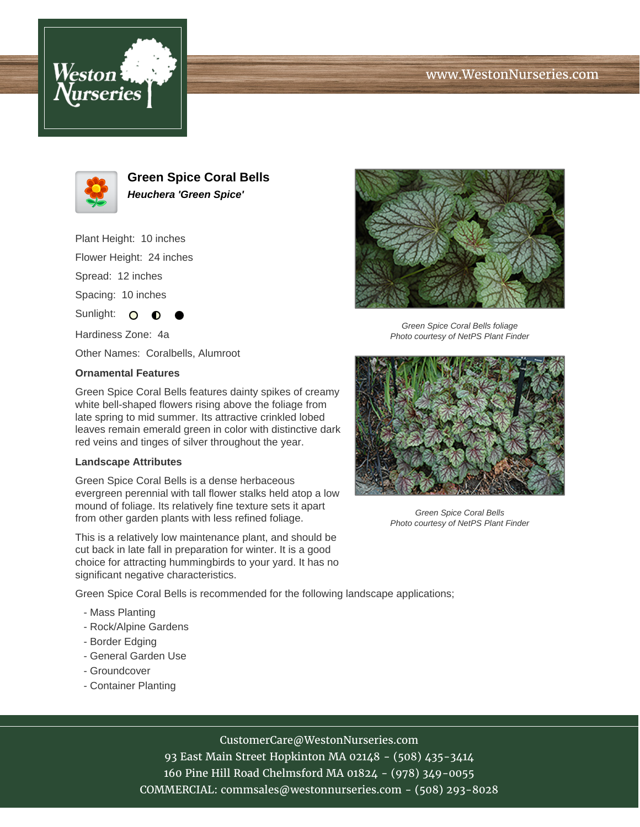## www.WestonNurseries.com





**Green Spice Coral Bells Heuchera 'Green Spice'**

Plant Height: 10 inches

Flower Height: 24 inches

Spread: 12 inches

Spacing: 10 inches

Sunlight: O

Hardiness Zone: 4a

Other Names: Coralbells, Alumroot

## **Ornamental Features**

Green Spice Coral Bells features dainty spikes of creamy white bell-shaped flowers rising above the foliage from late spring to mid summer. Its attractive crinkled lobed leaves remain emerald green in color with distinctive dark red veins and tinges of silver throughout the year.

## **Landscape Attributes**

Green Spice Coral Bells is a dense herbaceous evergreen perennial with tall flower stalks held atop a low mound of foliage. Its relatively fine texture sets it apart from other garden plants with less refined foliage.

This is a relatively low maintenance plant, and should be cut back in late fall in preparation for winter. It is a good choice for attracting hummingbirds to your yard. It has no significant negative characteristics.

Green Spice Coral Bells is recommended for the following landscape applications;

- Mass Planting
- Rock/Alpine Gardens
- Border Edging
- General Garden Use
- Groundcover
- Container Planting



Green Spice Coral Bells foliage Photo courtesy of NetPS Plant Finder



Green Spice Coral Bells Photo courtesy of NetPS Plant Finder

CustomerCare@WestonNurseries.com

93 East Main Street Hopkinton MA 02148 - (508) 435-3414 160 Pine Hill Road Chelmsford MA 01824 - (978) 349-0055 COMMERCIAL: commsales@westonnurseries.com - (508) 293-8028